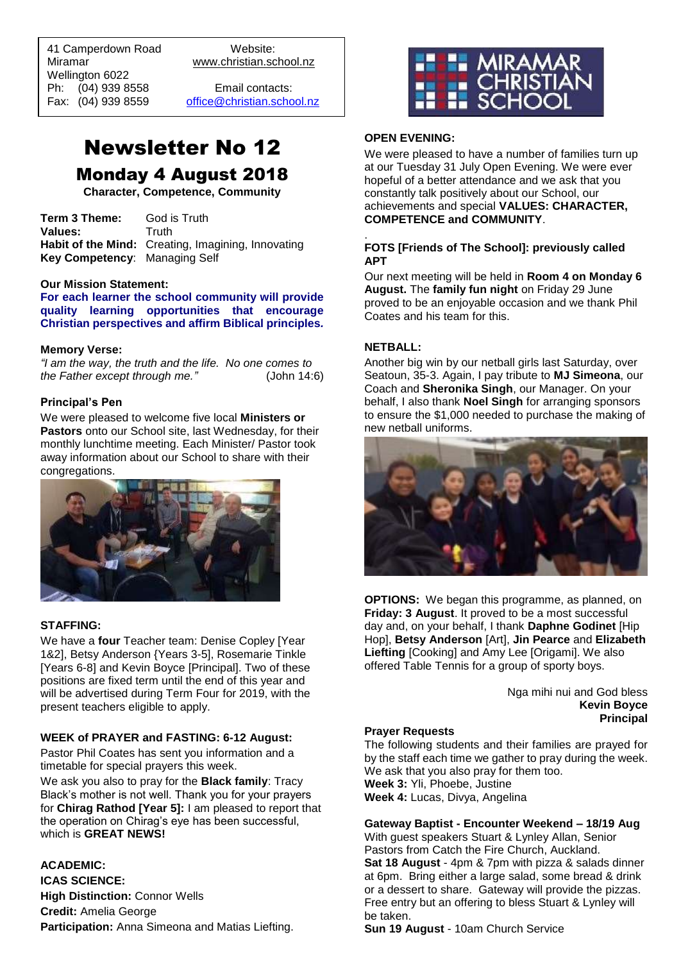41 Camperdown Road Website: Miramar www.christian.school.nz Wellington 6022 Ph: (04) 939 8558 Email contacts:

 $\overline{a}$ 

Fax: (04) 939 8559 [office@christian.school.nz](mailto:office@christian.school.nz)

# Newsletter No 12 Monday 4 August 2018

**Character, Competence, Community**

**Term 3 Theme:** God is Truth Values: Truth **Habit of the Mind:** Creating, Imagining, Innovating **Key Competency**: Managing Self

#### **Our Mission Statement:**

**For each learner the school community will provide quality learning opportunities that encourage Christian perspectives and affirm Biblical principles***.*

#### **Memory Verse:**

*"I am the way, the truth and the life. No one comes to the Father except through me."* (John 14:6)

#### **Principal's Pen**

We were pleased to welcome five local **Ministers or Pastors** onto our School site, last Wednesday, for their monthly lunchtime meeting. Each Minister/ Pastor took away information about our School to share with their congregations.



#### **STAFFING:**

We have a **four** Teacher team: Denise Copley [Year 1&2], Betsy Anderson {Years 3-5], Rosemarie Tinkle [Years 6-8] and Kevin Boyce [Principal]. Two of these positions are fixed term until the end of this year and will be advertised during Term Four for 2019, with the present teachers eligible to apply.

#### **WEEK of PRAYER and FASTING: 6-12 August:**

Pastor Phil Coates has sent you information and a timetable for special prayers this week.

We ask you also to pray for the **Black family**: Tracy Black's mother is not well. Thank you for your prayers for **Chirag Rathod [Year 5]:** I am pleased to report that the operation on Chirag's eye has been successful, which is **GREAT NEWS!**

#### **ACADEMIC:**

**ICAS SCIENCE: High Distinction: Connor Wells Credit:** Amelia George **Participation:** Anna Simeona and Matias Liefting.



#### **OPEN EVENING:**

We were pleased to have a number of families turn up at our Tuesday 31 July Open Evening. We were ever hopeful of a better attendance and we ask that you constantly talk positively about our School, our achievements and special **VALUES: CHARACTER, COMPETENCE and COMMUNITY**.

#### . **FOTS [Friends of The School]: previously called APT**

Our next meeting will be held in **Room 4 on Monday 6 August.** The **family fun night** on Friday 29 June proved to be an enjoyable occasion and we thank Phil Coates and his team for this.

#### **NETBALL:**

Another big win by our netball girls last Saturday, over Seatoun, 35-3. Again, I pay tribute to **MJ Simeona**, our Coach and **Sheronika Singh**, our Manager. On your behalf, I also thank **Noel Singh** for arranging sponsors to ensure the \$1,000 needed to purchase the making of new netball uniforms.



**OPTIONS:** We began this programme, as planned, on **Friday: 3 August**. It proved to be a most successful day and, on your behalf, I thank **Daphne Godinet** [Hip Hop], **Betsy Anderson** [Art], **Jin Pearce** and **Elizabeth Liefting** [Cooking] and Amy Lee [Origami]. We also offered Table Tennis for a group of sporty boys.

> Nga mihi nui and God bless **Kevin Boyce Principal**

#### **Prayer Requests**

The following students and their families are prayed for by the staff each time we gather to pray during the week. We ask that you also pray for them too. **Week 3:** Yli, Phoebe, Justine **Week 4:** Lucas, Divya, Angelina

### **Gateway Baptist - Encounter Weekend – 18/19 Aug**

With guest speakers Stuart & Lynley Allan, Senior Pastors from Catch the Fire Church, Auckland. **Sat 18 August** - 4pm & 7pm with pizza & salads dinner at 6pm. Bring either a large salad, some bread & drink or a dessert to share. Gateway will provide the pizzas. Free entry but an offering to bless Stuart & Lynley will be taken.

**Sun 19 August** - 10am Church Service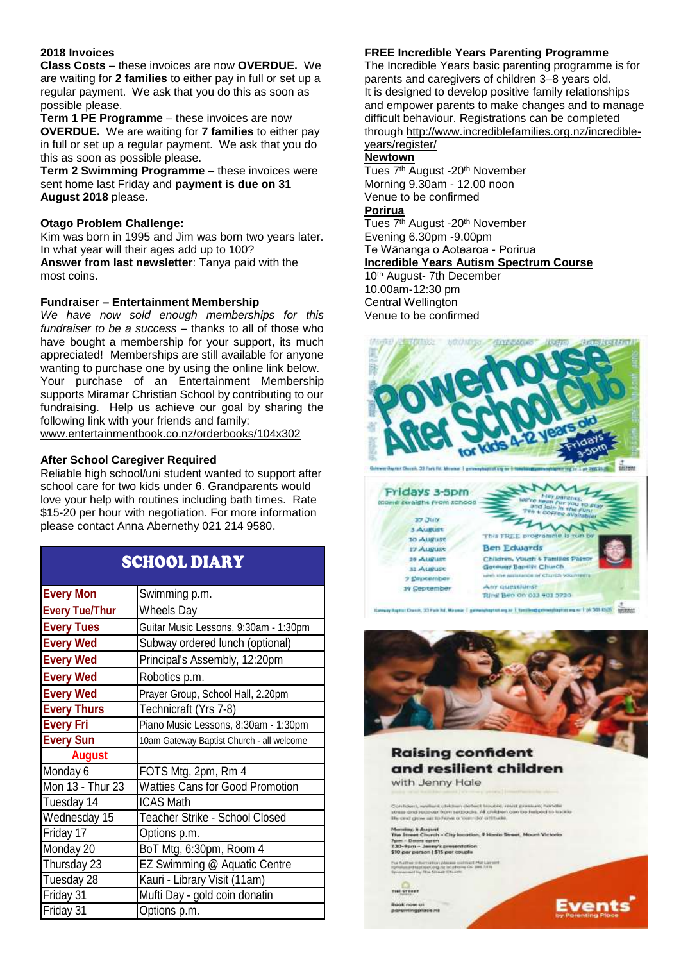#### **2018 Invoices**

**Class Costs** – these invoices are now **OVERDUE.** We are waiting for **2 families** to either pay in full or set up a regular payment. We ask that you do this as soon as possible please.

**Term 1 PE Programme** – these invoices are now **OVERDUE.** We are waiting for **7 families** to either pay in full or set up a regular payment. We ask that you do this as soon as possible please.

**Term 2 Swimming Programme** – these invoices were sent home last Friday and **payment is due on 31 August 2018** please**.**

#### **Otago Problem Challenge:**

Kim was born in 1995 and Jim was born two years later. In what year will their ages add up to 100? **Answer from last newsletter**: Tanya paid with the most coins.

#### **Fundraiser – Entertainment Membership**

*We have now sold enough memberships for this fundraiser to be a success* – thanks to all of those who have bought a membership for your support, its much appreciated! Memberships are still available for anyone wanting to purchase one by using the online link below. Your purchase of an Entertainment Membership supports Miramar Christian School by contributing to our fundraising. Help us achieve our goal by sharing the following link with your friends and family: [www.entertainmentbook.co.nz/orderbooks/104x302](http://www.entertainmentbook.co.nz/orderbooks/104x302)

#### **After School Caregiver Required**

Reliable high school/uni student wanted to support after school care for two kids under 6. Grandparents would love your help with routines including bath times. Rate \$15-20 per hour with negotiation. For more information please contact Anna Abernethy 021 214 9580.

## SCHOOL DIARY

| <b>Every Mon</b>      | Swimming p.m.                             |
|-----------------------|-------------------------------------------|
| <b>Every Tue/Thur</b> | Wheels Day                                |
| <b>Every Tues</b>     | Guitar Music Lessons, 9:30am - 1:30pm     |
| <b>Every Wed</b>      | Subway ordered lunch (optional)           |
| <b>Every Wed</b>      | Principal's Assembly, 12:20pm             |
| <b>Every Wed</b>      | Robotics p.m.                             |
| <b>Every Wed</b>      | Prayer Group, School Hall, 2.20pm         |
| <b>Every Thurs</b>    | Technicraft (Yrs 7-8)                     |
| <b>Every Fri</b>      | Piano Music Lessons, 8:30am - 1:30pm      |
| <b>Every Sun</b>      | 10am Gateway Baptist Church - all welcome |
| <b>August</b>         |                                           |
| Monday 6              | FOTS Mtg, 2pm, Rm 4                       |
| Mon 13 - Thur 23      | <b>Watties Cans for Good Promotion</b>    |
| Tuesday 14            | <b>ICAS Math</b>                          |
| Wednesday 15          | <b>Teacher Strike - School Closed</b>     |
| Friday 17             | Options p.m.                              |
| Monday 20             | BoT Mtg, 6:30pm, Room 4                   |
| Thursday 23           | EZ Swimming @ Aquatic Centre              |
| Tuesday 28            | Kauri - Library Visit (11am)              |
| Friday 31             | Mufti Day - gold coin donatin             |
| Friday 31             | Options p.m.                              |

### **FREE Incredible Years Parenting Programme**

The Incredible Years basic parenting programme is for parents and caregivers of children 3–8 years old. It is designed to develop positive family relationships and empower parents to make changes and to manage difficult behaviour. Registrations can be completed through [http://www.incrediblefamilies.org.nz/incredible](http://www.incrediblefamilies.org.nz/incredible-years/register/)[years/register/](http://www.incrediblefamilies.org.nz/incredible-years/register/)

#### **Newtown**

Tues 7<sup>th</sup> August -20<sup>th</sup> November Morning 9.30am - 12.00 noon Venue to be confirmed

### **Porirua**

Tues 7<sup>th</sup> August -20<sup>th</sup> November Evening 6.30pm -9.00pm Te Wānanga o Aotearoa - Porirua **Incredible Years Autism Spectrum Course** 

10<sup>th</sup> August- 7th December 10.00am-12:30 pm Central Wellington Venue to be confirmed





## **Raising confident** and resilient children with Jenny Hale Contrasert, markers is the last unit to the data served provided to the<br>stress since receiver from setting de children con too herbored to the<br>Ble cred grow up to Ferrer is 'com-do' attitude. **The St.**

Events

einy, A August<br>Štreet Church - City Iocation, 9 Hanks Street, Mo.<br>- Doon: open<br>- Yum - Jenny's presentation.<br>per person | 315 per couple

s duranten plenne soldaat Mal Lie<br>spraak og se sterre OS 200.7/17<br>lis The Sheet Church

THE STREET